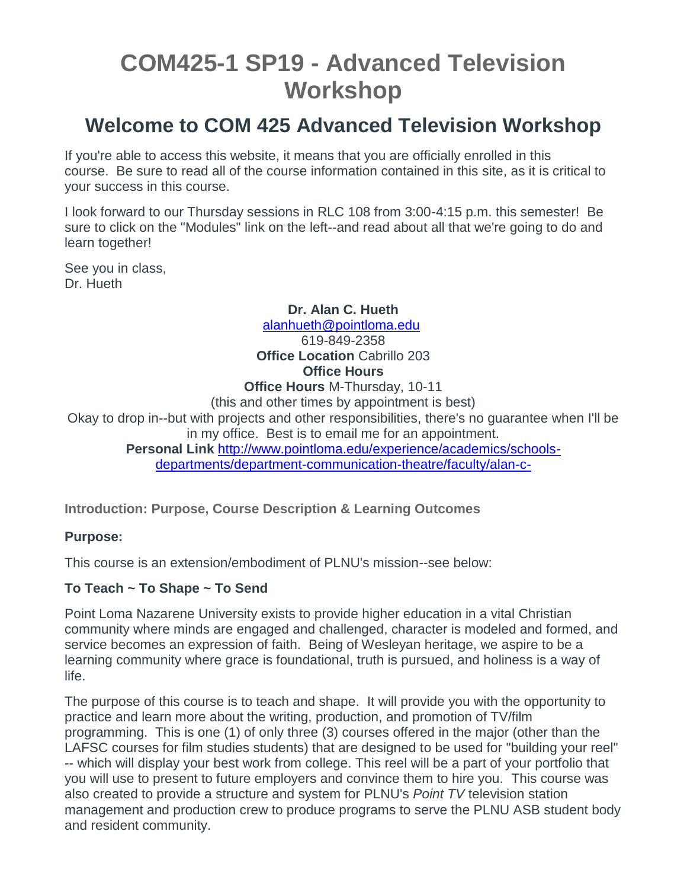# **COM425-1 SP19 - Advanced Television Workshop**

## **Welcome to COM 425 Advanced Television Workshop**

If you're able to access this website, it means that you are officially enrolled in this course. Be sure to read all of the course information contained in this site, as it is critical to your success in this course.

I look forward to our Thursday sessions in RLC 108 from 3:00-4:15 p.m. this semester! Be sure to click on the "Modules" link on the left--and read about all that we're going to do and learn together!

See you in class, Dr. Hueth

**Dr. Alan C. Hueth**

[alanhueth@pointloma.edu](mailto:alanhueth@pointloma.edu) 619-849-2358 **Office Location** Cabrillo 203 **Office Hours**

**Office Hours** M-Thursday, 10-11

(this and other times by appointment is best)

Okay to drop in--but with projects and other responsibilities, there's no guarantee when I'll be in my office. Best is to email me for an appointment.

**Personal Link** [http://www.pointloma.edu/experience/academics/schools](http://www.pointloma.edu/experience/academics/schools-departments/department-communication-theatre/faculty/alan-c-hueth)[departments/department-communication-theatre/faculty/alan-c-](http://www.pointloma.edu/experience/academics/schools-departments/department-communication-theatre/faculty/alan-c-hueth)

**Introduction: Purpose, Course Description & Learning Outcomes**

#### **Purpose:**

This course is an extension/embodiment of PLNU's mission--see below:

#### **To Teach ~ To Shape ~ To Send**

Point Loma Nazarene University exists to provide higher education in a vital Christian community where minds are engaged and challenged, character is modeled and formed, and service becomes an expression of faith. Being of Wesleyan heritage, we aspire to be a learning community where grace is foundational, truth is pursued, and holiness is a way of life.

The purpose of this course is to teach and shape. It will provide you with the opportunity to practice and learn more about the writing, production, and promotion of TV/film programming. This is one (1) of only three (3) courses offered in the major (other than the LAFSC courses for film studies students) that are designed to be used for "building your reel" -- which will display your best work from college. This reel will be a part of your portfolio that you will use to present to future employers and convince them to hire you. This course was also created to provide a structure and system for PLNU's *Point TV* television station management and production crew to produce programs to serve the PLNU ASB student body and resident community.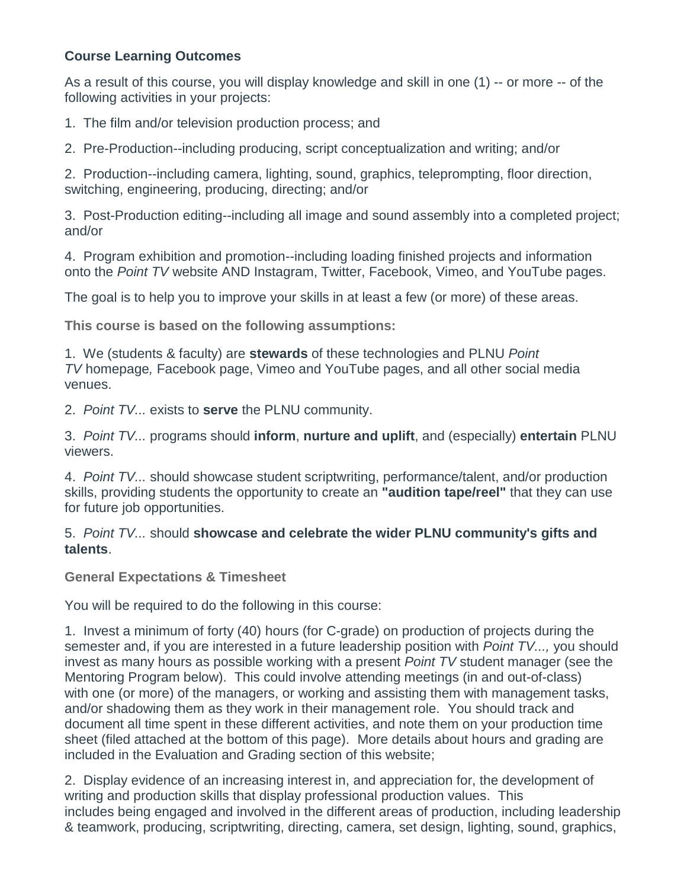#### **Course Learning Outcomes**

As a result of this course, you will display knowledge and skill in one (1) -- or more -- of the following activities in your projects:

1. The film and/or television production process; and

2. Pre-Production--including producing, script conceptualization and writing; and/or

2. Production--including camera, lighting, sound, graphics, teleprompting, floor direction, switching, engineering, producing, directing; and/or

3. Post-Production editing--including all image and sound assembly into a completed project; and/or

4. Program exhibition and promotion--including loading finished projects and information onto the *Point TV* website AND Instagram, Twitter, Facebook, Vimeo, and YouTube pages.

The goal is to help you to improve your skills in at least a few (or more) of these areas.

**This course is based on the following assumptions:**

1. We (students & faculty) are **stewards** of these technologies and PLNU *Point TV* homepage*,* Facebook page, Vimeo and YouTube pages, and all other social media venues.

2. *Point TV...* exists to **serve** the PLNU community.

3. *Point TV...* programs should **inform**, **nurture and uplift**, and (especially) **entertain** PLNU viewers.

4. *Point TV...* should showcase student scriptwriting, performance/talent, and/or production skills, providing students the opportunity to create an **"audition tape/reel"** that they can use for future job opportunities.

5. *Point TV...* should **showcase and celebrate the wider PLNU community's gifts and talents**.

**General Expectations & Timesheet**

You will be required to do the following in this course:

1. Invest a minimum of forty (40) hours (for C-grade) on production of projects during the semester and, if you are interested in a future leadership position with *Point TV...,* you should invest as many hours as possible working with a present *Point TV* student manager (see the Mentoring Program below). This could involve attending meetings (in and out-of-class) with one (or more) of the managers, or working and assisting them with management tasks, and/or shadowing them as they work in their management role. You should track and document all time spent in these different activities, and note them on your production time sheet (filed attached at the bottom of this page). More details about hours and grading are included in the Evaluation and Grading section of this website;

2. Display evidence of an increasing interest in, and appreciation for, the development of writing and production skills that display professional production values. This includes being engaged and involved in the different areas of production, including leadership & teamwork, producing, scriptwriting, directing, camera, set design, lighting, sound, graphics,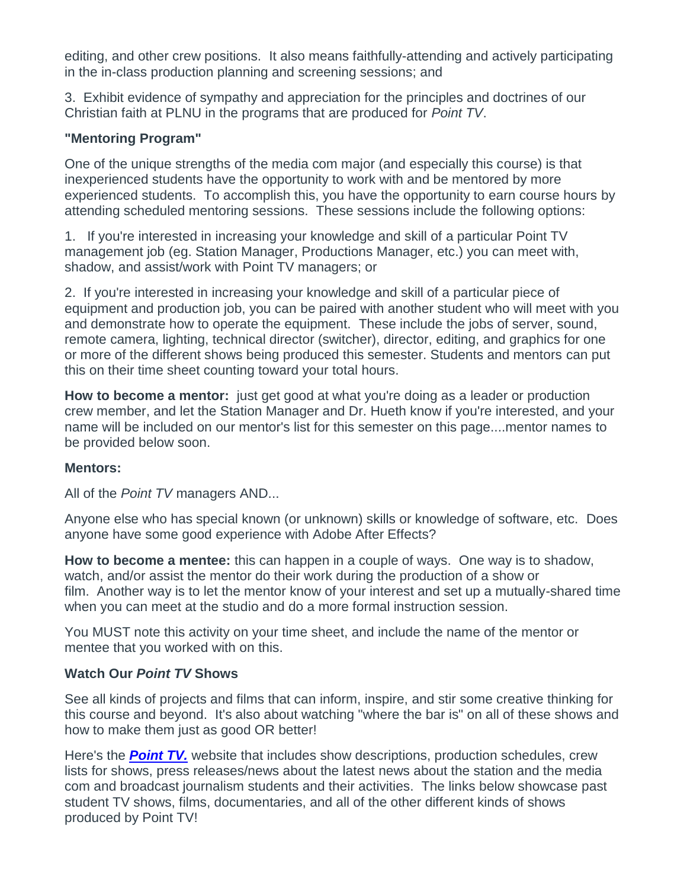editing, and other crew positions. It also means faithfully-attending and actively participating in the in-class production planning and screening sessions; and

3. Exhibit evidence of sympathy and appreciation for the principles and doctrines of our Christian faith at PLNU in the programs that are produced for *Point TV*.

## **"Mentoring Program"**

One of the unique strengths of the media com major (and especially this course) is that inexperienced students have the opportunity to work with and be mentored by more experienced students. To accomplish this, you have the opportunity to earn course hours by attending scheduled mentoring sessions. These sessions include the following options:

1. If you're interested in increasing your knowledge and skill of a particular Point TV management job (eg. Station Manager, Productions Manager, etc.) you can meet with, shadow, and assist/work with Point TV managers; or

2. If you're interested in increasing your knowledge and skill of a particular piece of equipment and production job, you can be paired with another student who will meet with you and demonstrate how to operate the equipment. These include the jobs of server, sound, remote camera, lighting, technical director (switcher), director, editing, and graphics for one or more of the different shows being produced this semester. Students and mentors can put this on their time sheet counting toward your total hours.

**How to become a mentor:** just get good at what you're doing as a leader or production crew member, and let the Station Manager and Dr. Hueth know if you're interested, and your name will be included on our mentor's list for this semester on this page....mentor names to be provided below soon.

#### **Mentors:**

All of the *Point TV* managers AND...

Anyone else who has special known (or unknown) skills or knowledge of software, etc. Does anyone have some good experience with Adobe After Effects?

**How to become a mentee:** this can happen in a couple of ways. One way is to shadow, watch, and/or assist the mentor do their work during the production of a show or film. Another way is to let the mentor know of your interest and set up a mutually-shared time when you can meet at the studio and do a more formal instruction session.

You MUST note this activity on your time sheet, and include the name of the mentor or mentee that you worked with on this.

#### **Watch Our** *Point TV* **Shows**

See all kinds of projects and films that can inform, inspire, and stir some creative thinking for this course and beyond. It's also about watching "where the bar is" on all of these shows and how to make them just as good OR better!

Here's the *[Point TV.](http://pointtv23.com/com425and243/)* website that includes show descriptions, production schedules, crew lists for shows, press releases/news about the latest news about the station and the media com and broadcast journalism students and their activities. The links below showcase past student TV shows, films, documentaries, and all of the other different kinds of shows produced by Point TV!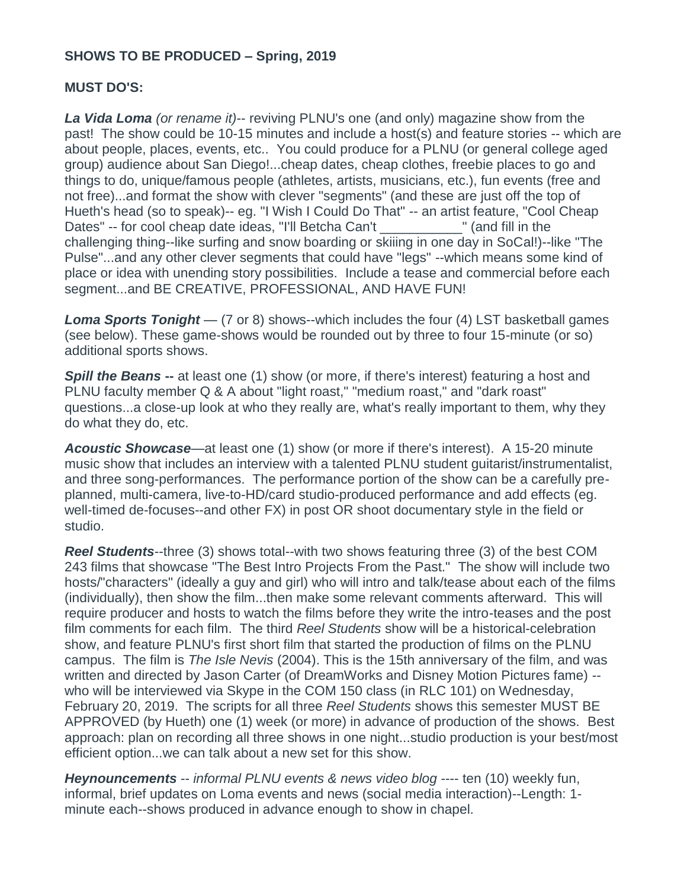#### **SHOWS TO BE PRODUCED – Spring, 2019**

#### **MUST DO'S:**

*La Vida Loma (or rename it)*-- reviving PLNU's one (and only) magazine show from the past! The show could be 10-15 minutes and include a host(s) and feature stories -- which are about people, places, events, etc.. You could produce for a PLNU (or general college aged group) audience about San Diego!...cheap dates, cheap clothes, freebie places to go and things to do, unique/famous people (athletes, artists, musicians, etc.), fun events (free and not free)...and format the show with clever "segments" (and these are just off the top of Hueth's head (so to speak)-- eg. "I Wish I Could Do That" -- an artist feature, "Cool Cheap Dates" -- for cool cheap date ideas, "I'll Betcha Can't The Tean of Tean's Team in the challenging thing--like surfing and snow boarding or skiiing in one day in SoCal!)--like "The Pulse"...and any other clever segments that could have "legs" --which means some kind of place or idea with unending story possibilities. Include a tease and commercial before each segment...and BE CREATIVE, PROFESSIONAL, AND HAVE FUN!

*Loma Sports Tonight* — (7 or 8) shows--which includes the four (4) LST basketball games (see below). These game-shows would be rounded out by three to four 15-minute (or so) additional sports shows.

**Spill the Beans** -- at least one (1) show (or more, if there's interest) featuring a host and PLNU faculty member Q & A about "light roast," "medium roast," and "dark roast" questions...a close-up look at who they really are, what's really important to them, why they do what they do, etc.

*Acoustic Showcase*—at least one (1) show (or more if there's interest). A 15-20 minute music show that includes an interview with a talented PLNU student guitarist/instrumentalist, and three song-performances. The performance portion of the show can be a carefully preplanned, multi-camera, live-to-HD/card studio-produced performance and add effects (eg. well-timed de-focuses--and other FX) in post OR shoot documentary style in the field or studio.

*Reel Students*--three (3) shows total--with two shows featuring three (3) of the best COM 243 films that showcase "The Best Intro Projects From the Past." The show will include two hosts/"characters" (ideally a guy and girl) who will intro and talk/tease about each of the films (individually), then show the film...then make some relevant comments afterward. This will require producer and hosts to watch the films before they write the intro-teases and the post film comments for each film. The third *Reel Students* show will be a historical-celebration show, and feature PLNU's first short film that started the production of films on the PLNU campus. The film is *The Isle Nevis* (2004). This is the 15th anniversary of the film, and was written and directed by Jason Carter (of DreamWorks and Disney Motion Pictures fame) - who will be interviewed via Skype in the COM 150 class (in RLC 101) on Wednesday, February 20, 2019. The scripts for all three *Reel Students* shows this semester MUST BE APPROVED (by Hueth) one (1) week (or more) in advance of production of the shows. Best approach: plan on recording all three shows in one night...studio production is your best/most efficient option...we can talk about a new set for this show.

*Heynouncements* -- *informal PLNU events & news video blog* ---- ten (10) weekly fun, informal, brief updates on Loma events and news (social media interaction)--Length: 1 minute each--shows produced in advance enough to show in chapel.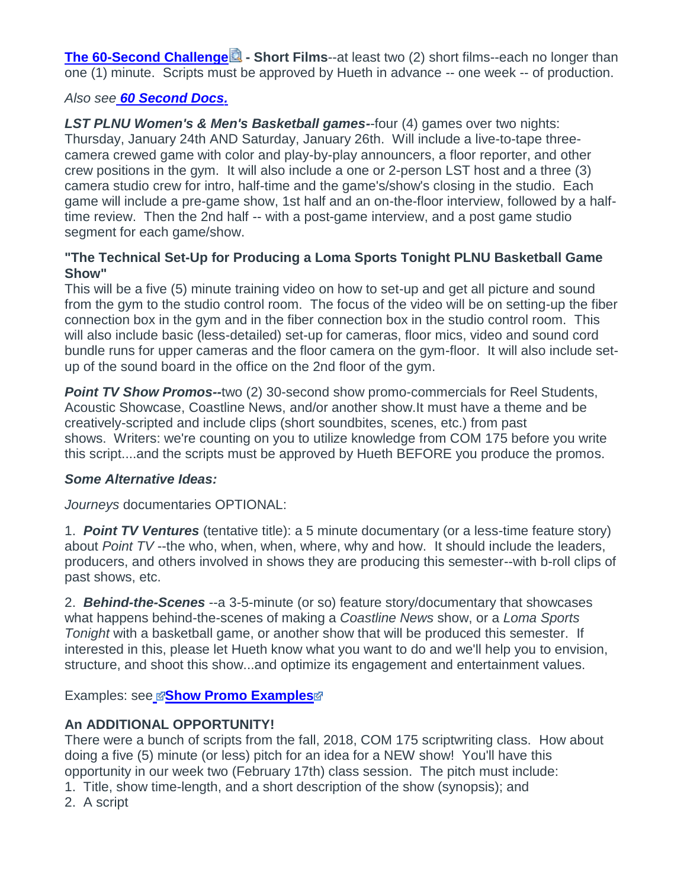**[The 60-Second Challenge](https://canvas.pointloma.edu/courses/44425/files/2304614/download?wrap=1) <b>** - Short Films--at least two (2) short films--each no longer than one (1) minute. Scripts must be approved by Hueth in advance -- one week -- of production.

## *Also see [60 Second Docs.](https://www.youtube.com/channel/UCYsWPPZMhfI9EddYpPe6CYw)*

*LST PLNU Women's & Men's Basketball games-*-four (4) games over two nights: Thursday, January 24th AND Saturday, January 26th. Will include a live-to-tape threecamera crewed game with color and play-by-play announcers, a floor reporter, and other crew positions in the gym. It will also include a one or 2-person LST host and a three (3) camera studio crew for intro, half-time and the game's/show's closing in the studio. Each game will include a pre-game show, 1st half and an on-the-floor interview, followed by a halftime review. Then the 2nd half -- with a post-game interview, and a post game studio segment for each game/show.

#### **"The Technical Set-Up for Producing a Loma Sports Tonight PLNU Basketball Game Show"**

This will be a five (5) minute training video on how to set-up and get all picture and sound from the gym to the studio control room. The focus of the video will be on setting-up the fiber connection box in the gym and in the fiber connection box in the studio control room. This will also include basic (less-detailed) set-up for cameras, floor mics, video and sound cord bundle runs for upper cameras and the floor camera on the gym-floor. It will also include setup of the sound board in the office on the 2nd floor of the gym.

*Point TV Show Promos--*two (2) 30-second show promo-commercials for Reel Students, Acoustic Showcase, Coastline News, and/or another show.It must have a theme and be creatively-scripted and include clips (short soundbites, scenes, etc.) from past shows. Writers: we're counting on you to utilize knowledge from COM 175 before you write this script....and the scripts must be approved by Hueth BEFORE you produce the promos.

#### *Some Alternative Ideas:*

*Journeys* documentaries OPTIONAL:

1. *Point TV Ventures* (tentative title): a 5 minute documentary (or a less-time feature story) about *Point TV* --the who, when, when, where, why and how. It should include the leaders, producers, and others involved in shows they are producing this semester--with b-roll clips of past shows, etc.

2. *Behind-the-Scenes* --a 3-5-minute (or so) feature story/documentary that showcases what happens behind-the-scenes of making a *Coastline News* show, or a *Loma Sports Tonight* with a basketball game, or another show that will be produced this semester. If interested in this, please let Hueth know what you want to do and we'll help you to envision, structure, and shoot this show...and optimize its engagement and entertainment values.

Exampl[e](https://canvas.pointloma.edu/courses/44425/files/2304633/download?wrap=1)s: see **Bhow Promo Examples** 

## **An ADDITIONAL OPPORTUNITY!**

There were a bunch of scripts from the fall, 2018, COM 175 scriptwriting class. How about doing a five (5) minute (or less) pitch for an idea for a NEW show! You'll have this opportunity in our week two (February 17th) class session. The pitch must include:

- 1. Title, show time-length, and a short description of the show (synopsis); and
- 2. A script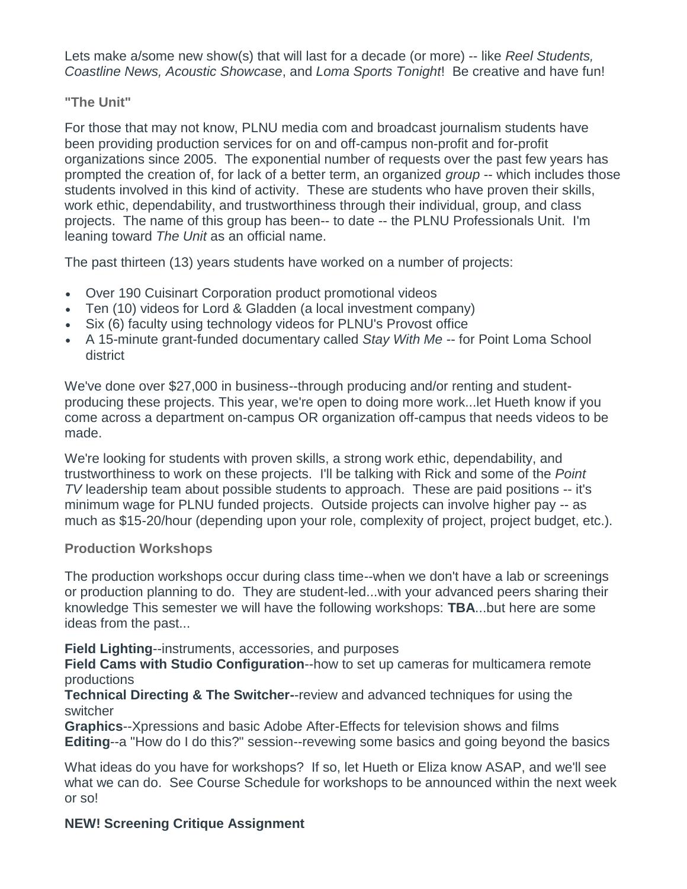Lets make a/some new show(s) that will last for a decade (or more) -- like *Reel Students, Coastline News, Acoustic Showcase*, and *Loma Sports Tonight*! Be creative and have fun!

#### **"The Unit"**

For those that may not know, PLNU media com and broadcast journalism students have been providing production services for on and off-campus non-profit and for-profit organizations since 2005. The exponential number of requests over the past few years has prompted the creation of, for lack of a better term, an organized *group* -- which includes those students involved in this kind of activity. These are students who have proven their skills, work ethic, dependability, and trustworthiness through their individual, group, and class projects. The name of this group has been-- to date -- the PLNU Professionals Unit. I'm leaning toward *The Unit* as an official name.

The past thirteen (13) years students have worked on a number of projects:

- Over 190 Cuisinart Corporation product promotional videos
- Ten (10) videos for Lord & Gladden (a local investment company)
- Six (6) faculty using technology videos for PLNU's Provost office
- A 15-minute grant-funded documentary called *Stay With Me* -- for Point Loma School district

We've done over \$27,000 in business--through producing and/or renting and studentproducing these projects. This year, we're open to doing more work...let Hueth know if you come across a department on-campus OR organization off-campus that needs videos to be made.

We're looking for students with proven skills, a strong work ethic, dependability, and trustworthiness to work on these projects. I'll be talking with Rick and some of the *Point TV* leadership team about possible students to approach. These are paid positions -- it's minimum wage for PLNU funded projects. Outside projects can involve higher pay -- as much as \$15-20/hour (depending upon your role, complexity of project, project budget, etc.).

#### **Production Workshops**

The production workshops occur during class time--when we don't have a lab or screenings or production planning to do. They are student-led...with your advanced peers sharing their knowledge This semester we will have the following workshops: **TBA**...but here are some ideas from the past...

**Field Lighting**--instruments, accessories, and purposes

**Field Cams with Studio Configuration**--how to set up cameras for multicamera remote productions

**Technical Directing & The Switcher-**-review and advanced techniques for using the switcher

**Graphics**--Xpressions and basic Adobe After-Effects for television shows and films **Editing**--a "How do I do this?" session--revewing some basics and going beyond the basics

What ideas do you have for workshops? If so, let Hueth or Eliza know ASAP, and we'll see what we can do. See Course Schedule for workshops to be announced within the next week or so!

## **NEW! Screening Critique Assignment**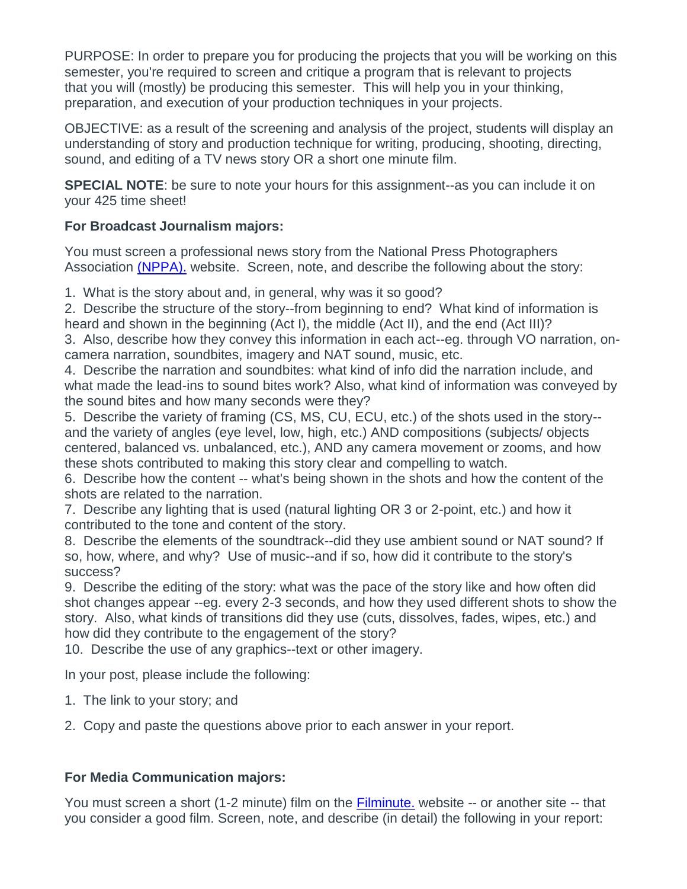PURPOSE: In order to prepare you for producing the projects that you will be working on this semester, you're required to screen and critique a program that is relevant to projects that you will (mostly) be producing this semester. This will help you in your thinking, preparation, and execution of your production techniques in your projects.

OBJECTIVE: as a result of the screening and analysis of the project, students will display an understanding of story and production technique for writing, producing, shooting, directing, sound, and editing of a TV news story OR a short one minute film.

**SPECIAL NOTE:** be sure to note your hours for this assignment--as you can include it on your 425 time sheet!

#### **For Broadcast Journalism majors:**

You must screen a professional news story from the National Press Photographers Association [\(NPPA\).](http://competitions.nppa.org/best-of-photojournalism/bop-category/tv-news-photography/) website. Screen, note, and describe the following about the story:

1. What is the story about and, in general, why was it so good?

2. Describe the structure of the story--from beginning to end? What kind of information is heard and shown in the beginning (Act I), the middle (Act II), and the end (Act III)?

3. Also, describe how they convey this information in each act--eg. through VO narration, oncamera narration, soundbites, imagery and NAT sound, music, etc.

4. Describe the narration and soundbites: what kind of info did the narration include, and what made the lead-ins to sound bites work? Also, what kind of information was conveyed by the sound bites and how many seconds were they?

5. Describe the variety of framing (CS, MS, CU, ECU, etc.) of the shots used in the story- and the variety of angles (eye level, low, high, etc.) AND compositions (subjects/ objects centered, balanced vs. unbalanced, etc.), AND any camera movement or zooms, and how these shots contributed to making this story clear and compelling to watch.

6. Describe how the content -- what's being shown in the shots and how the content of the shots are related to the narration.

7. Describe any lighting that is used (natural lighting OR 3 or 2-point, etc.) and how it contributed to the tone and content of the story.

8. Describe the elements of the soundtrack--did they use ambient sound or NAT sound? If so, how, where, and why? Use of music--and if so, how did it contribute to the story's success?

9. Describe the editing of the story: what was the pace of the story like and how often did shot changes appear --eg. every 2-3 seconds, and how they used different shots to show the story. Also, what kinds of transitions did they use (cuts, dissolves, fades, wipes, etc.) and how did they contribute to the engagement of the story?

10. Describe the use of any graphics--text or other imagery.

In your post, please include the following:

1. The link to your story; and

2. Copy and paste the questions above prior to each answer in your report.

## **For Media Communication majors:**

You must screen a short (1-2 minute) film on the [Filminute.](http://www.filminute.com/films/2016/) website -- or another site -- that you consider a good film. Screen, note, and describe (in detail) the following in your report: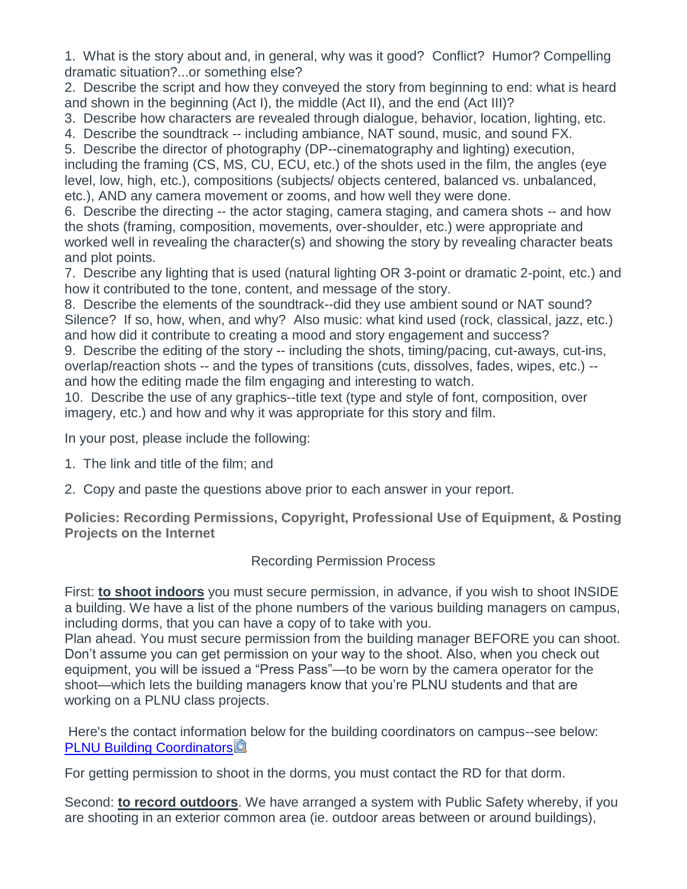1. What is the story about and, in general, why was it good? Conflict? Humor? Compelling dramatic situation?...or something else?

2. Describe the script and how they conveyed the story from beginning to end: what is heard and shown in the beginning (Act I), the middle (Act II), and the end (Act III)?

3. Describe how characters are revealed through dialogue, behavior, location, lighting, etc.

4. Describe the soundtrack -- including ambiance, NAT sound, music, and sound FX.

5. Describe the director of photography (DP--cinematography and lighting) execution, including the framing (CS, MS, CU, ECU, etc.) of the shots used in the film, the angles (eye level, low, high, etc.), compositions (subjects/ objects centered, balanced vs. unbalanced, etc.), AND any camera movement or zooms, and how well they were done.

6. Describe the directing -- the actor staging, camera staging, and camera shots -- and how the shots (framing, composition, movements, over-shoulder, etc.) were appropriate and worked well in revealing the character(s) and showing the story by revealing character beats and plot points.

7. Describe any lighting that is used (natural lighting OR 3-point or dramatic 2-point, etc.) and how it contributed to the tone, content, and message of the story.

8. Describe the elements of the soundtrack--did they use ambient sound or NAT sound? Silence? If so, how, when, and why? Also music: what kind used (rock, classical, jazz, etc.) and how did it contribute to creating a mood and story engagement and success?

9. Describe the editing of the story -- including the shots, timing/pacing, cut-aways, cut-ins, overlap/reaction shots -- and the types of transitions (cuts, dissolves, fades, wipes, etc.) - and how the editing made the film engaging and interesting to watch.

10. Describe the use of any graphics--title text (type and style of font, composition, over imagery, etc.) and how and why it was appropriate for this story and film.

In your post, please include the following:

- 1. The link and title of the film; and
- 2. Copy and paste the questions above prior to each answer in your report.

**Policies: Recording Permissions, Copyright, Professional Use of Equipment, & Posting Projects on the Internet**

#### Recording Permission Process

First: **to shoot indoors** you must secure permission, in advance, if you wish to shoot INSIDE a building. We have a list of the phone numbers of the various building managers on campus, including dorms, that you can have a copy of to take with you.

Plan ahead. You must secure permission from the building manager BEFORE you can shoot. Don't assume you can get permission on your way to the shoot. Also, when you check out equipment, you will be issued a "Press Pass"—to be worn by the camera operator for the shoot—which lets the building managers know that you're PLNU students and that are working on a PLNU class projects.

Here's the contact information below for the building coordinators on campus--see below: [PLNU Building Coordinators](https://canvas.pointloma.edu/courses/44425/files/2304617/download?wrap=1)

For getting permission to shoot in the dorms, you must contact the RD for that dorm.

Second: **to record outdoors**. We have arranged a system with Public Safety whereby, if you are shooting in an exterior common area (ie. outdoor areas between or around buildings),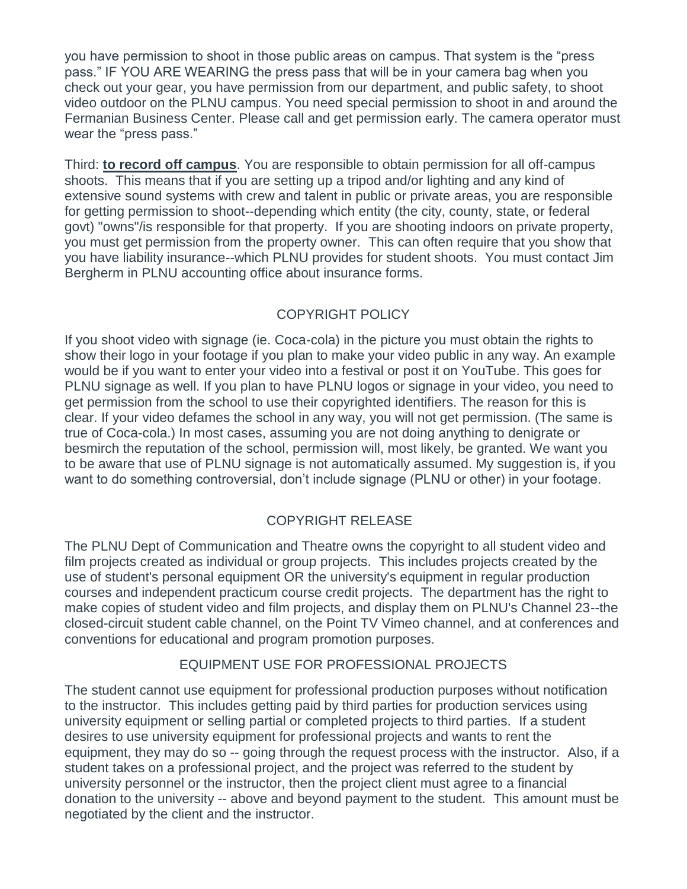you have permission to shoot in those public areas on campus. That system is the "press pass." IF YOU ARE WEARING the press pass that will be in your camera bag when you check out your gear, you have permission from our department, and public safety, to shoot video outdoor on the PLNU campus. You need special permission to shoot in and around the Fermanian Business Center. Please call and get permission early. The camera operator must wear the "press pass."

Third: **to record off campus**. You are responsible to obtain permission for all off-campus shoots. This means that if you are setting up a tripod and/or lighting and any kind of extensive sound systems with crew and talent in public or private areas, you are responsible for getting permission to shoot--depending which entity (the city, county, state, or federal govt) "owns"/is responsible for that property. If you are shooting indoors on private property, you must get permission from the property owner. This can often require that you show that you have liability insurance--which PLNU provides for student shoots. You must contact Jim Bergherm in PLNU accounting office about insurance forms.

## COPYRIGHT POLICY

If you shoot video with signage (ie. Coca-cola) in the picture you must obtain the rights to show their logo in your footage if you plan to make your video public in any way. An example would be if you want to enter your video into a festival or post it on YouTube. This goes for PLNU signage as well. If you plan to have PLNU logos or signage in your video, you need to get permission from the school to use their copyrighted identifiers. The reason for this is clear. If your video defames the school in any way, you will not get permission. (The same is true of Coca-cola.) In most cases, assuming you are not doing anything to denigrate or besmirch the reputation of the school, permission will, most likely, be granted. We want you to be aware that use of PLNU signage is not automatically assumed. My suggestion is, if you want to do something controversial, don't include signage (PLNU or other) in your footage.

## COPYRIGHT RELEASE

The PLNU Dept of Communication and Theatre owns the copyright to all student video and film projects created as individual or group projects. This includes projects created by the use of student's personal equipment OR the university's equipment in regular production courses and independent practicum course credit projects. The department has the right to make copies of student video and film projects, and display them on PLNU's Channel 23--the closed-circuit student cable channel, on the Point TV Vimeo channel, and at conferences and conventions for educational and program promotion purposes.

## EQUIPMENT USE FOR PROFESSIONAL PROJECTS

The student cannot use equipment for professional production purposes without notification to the instructor. This includes getting paid by third parties for production services using university equipment or selling partial or completed projects to third parties. If a student desires to use university equipment for professional projects and wants to rent the equipment, they may do so -- going through the request process with the instructor. Also, if a student takes on a professional project, and the project was referred to the student by university personnel or the instructor, then the project client must agree to a financial donation to the university -- above and beyond payment to the student. This amount must be negotiated by the client and the instructor.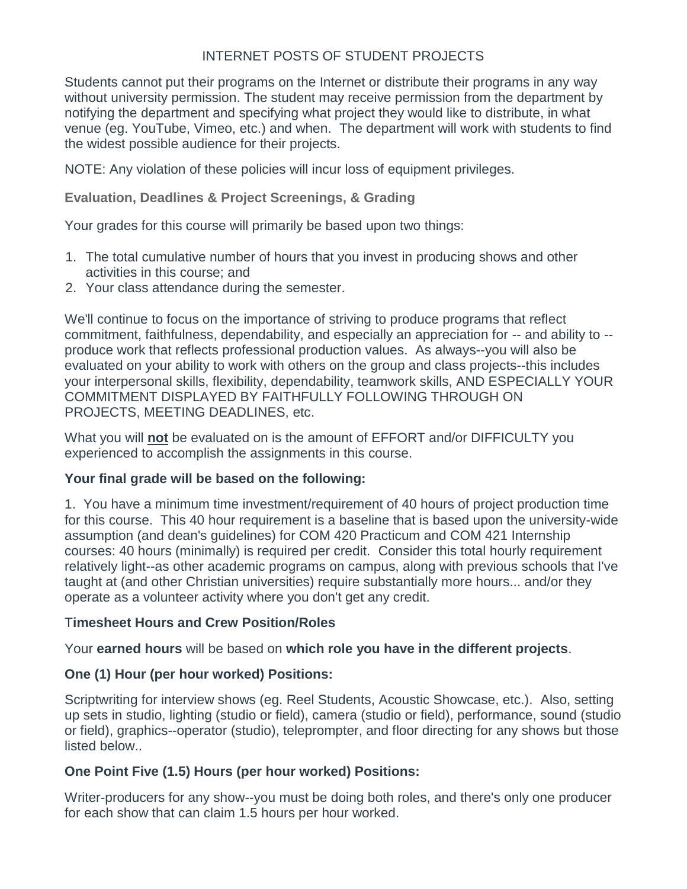#### INTERNET POSTS OF STUDENT PROJECTS

Students cannot put their programs on the Internet or distribute their programs in any way without university permission. The student may receive permission from the department by notifying the department and specifying what project they would like to distribute, in what venue (eg. YouTube, Vimeo, etc.) and when. The department will work with students to find the widest possible audience for their projects.

NOTE: Any violation of these policies will incur loss of equipment privileges.

**Evaluation, Deadlines & Project Screenings, & Grading**

Your grades for this course will primarily be based upon two things:

- 1. The total cumulative number of hours that you invest in producing shows and other activities in this course; and
- 2. Your class attendance during the semester.

We'll continue to focus on the importance of striving to produce programs that reflect commitment, faithfulness, dependability, and especially an appreciation for -- and ability to - produce work that reflects professional production values. As always--you will also be evaluated on your ability to work with others on the group and class projects--this includes your interpersonal skills, flexibility, dependability, teamwork skills, AND ESPECIALLY YOUR COMMITMENT DISPLAYED BY FAITHFULLY FOLLOWING THROUGH ON PROJECTS, MEETING DEADLINES, etc.

What you will **not** be evaluated on is the amount of EFFORT and/or DIFFICULTY you experienced to accomplish the assignments in this course.

#### **Your final grade will be based on the following:**

1. You have a minimum time investment/requirement of 40 hours of project production time for this course. This 40 hour requirement is a baseline that is based upon the university-wide assumption (and dean's guidelines) for COM 420 Practicum and COM 421 Internship courses: 40 hours (minimally) is required per credit. Consider this total hourly requirement relatively light--as other academic programs on campus, along with previous schools that I've taught at (and other Christian universities) require substantially more hours... and/or they operate as a volunteer activity where you don't get any credit.

#### T**imesheet Hours and Crew Position/Roles**

Your **earned hours** will be based on **which role you have in the different projects**.

#### **One (1) Hour (per hour worked) Positions:**

Scriptwriting for interview shows (eg. Reel Students, Acoustic Showcase, etc.). Also, setting up sets in studio, lighting (studio or field), camera (studio or field), performance, sound (studio or field), graphics--operator (studio), teleprompter, and floor directing for any shows but those listed below..

#### **One Point Five (1.5) Hours (per hour worked) Positions:**

Writer-producers for any show--you must be doing both roles, and there's only one producer for each show that can claim 1.5 hours per hour worked.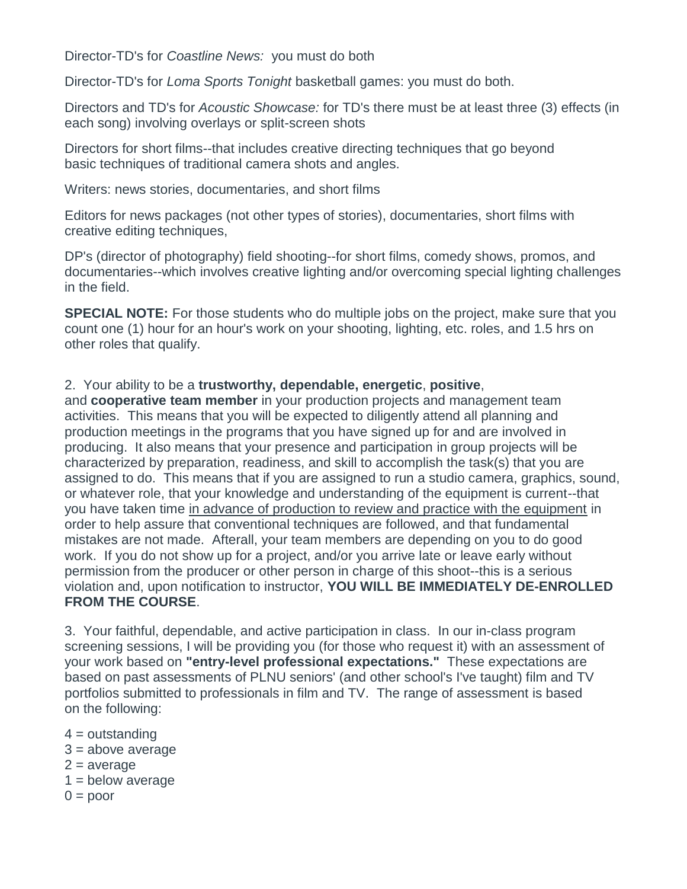Director-TD's for *Coastline News:* you must do both

Director-TD's for *Loma Sports Tonight* basketball games: you must do both.

Directors and TD's for *Acoustic Showcase:* for TD's there must be at least three (3) effects (in each song) involving overlays or split-screen shots

Directors for short films--that includes creative directing techniques that go beyond basic techniques of traditional camera shots and angles.

Writers: news stories, documentaries, and short films

Editors for news packages (not other types of stories), documentaries, short films with creative editing techniques,

DP's (director of photography) field shooting--for short films, comedy shows, promos, and documentaries--which involves creative lighting and/or overcoming special lighting challenges in the field.

**SPECIAL NOTE:** For those students who do multiple jobs on the project, make sure that you count one (1) hour for an hour's work on your shooting, lighting, etc. roles, and 1.5 hrs on other roles that qualify.

#### 2. Your ability to be a **trustworthy, dependable, energetic**, **positive**,

and **cooperative team member** in your production projects and management team activities. This means that you will be expected to diligently attend all planning and production meetings in the programs that you have signed up for and are involved in producing. It also means that your presence and participation in group projects will be characterized by preparation, readiness, and skill to accomplish the task(s) that you are assigned to do. This means that if you are assigned to run a studio camera, graphics, sound, or whatever role, that your knowledge and understanding of the equipment is current--that you have taken time in advance of production to review and practice with the equipment in order to help assure that conventional techniques are followed, and that fundamental mistakes are not made. Afterall, your team members are depending on you to do good work. If you do not show up for a project, and/or you arrive late or leave early without permission from the producer or other person in charge of this shoot--this is a serious violation and, upon notification to instructor, **YOU WILL BE IMMEDIATELY DE-ENROLLED FROM THE COURSE**.

3. Your faithful, dependable, and active participation in class. In our in-class program screening sessions, I will be providing you (for those who request it) with an assessment of your work based on **"entry-level professional expectations."** These expectations are based on past assessments of PLNU seniors' (and other school's I've taught) film and TV portfolios submitted to professionals in film and TV. The range of assessment is based on the following:

- $4 =$  outstanding
- $3 = above average$
- $2 = average$
- $1 =$  below average
- $0 =$  poor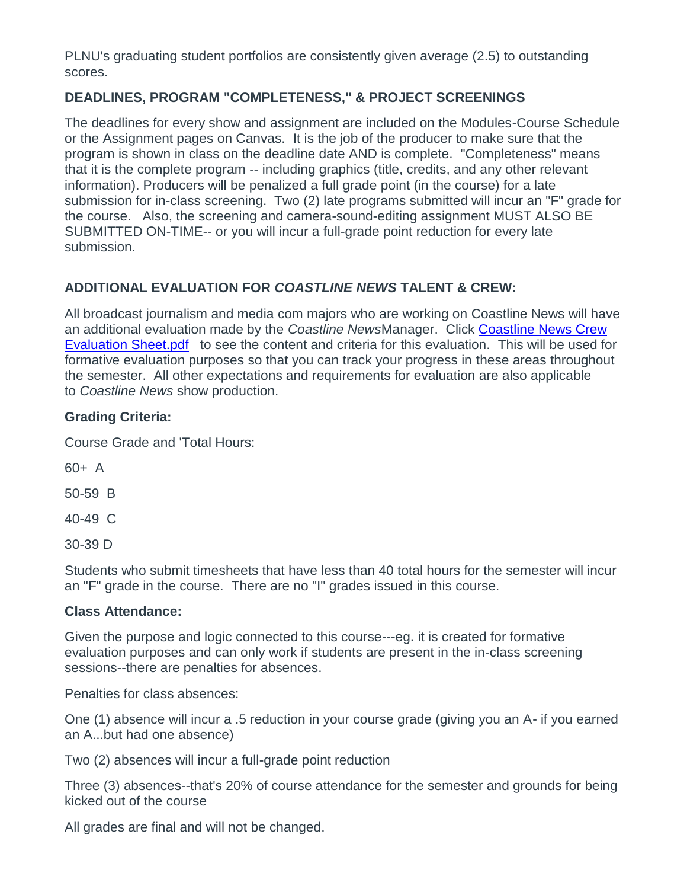PLNU's graduating student portfolios are consistently given average (2.5) to outstanding scores.

## **DEADLINES, PROGRAM "COMPLETENESS," & PROJECT SCREENINGS**

The deadlines for every show and assignment are included on the Modules-Course Schedule or the Assignment pages on Canvas. It is the job of the producer to make sure that the program is shown in class on the deadline date AND is complete. "Completeness" means that it is the complete program -- including graphics (title, credits, and any other relevant information). Producers will be penalized a full grade point (in the course) for a late submission for in-class screening. Two (2) late programs submitted will incur an "F" grade for the course. Also, the screening and camera-sound-editing assignment MUST ALSO BE SUBMITTED ON-TIME-- or you will incur a full-grade point reduction for every late submission.

## **ADDITIONAL EVALUATION FOR** *COASTLINE NEWS* **TALENT & CREW:**

All broadcast journalism and media com majors who are working on Coastline News will have an additional evaluation made by the *Coastline News*Manager. Click [Coastline News Crew](https://canvas.pointloma.edu/courses/44425/files/2304618/preview)  [Evaluation Sheet.pdf](https://canvas.pointloma.edu/courses/44425/files/2304618/preview) to see the content and criteria for this evaluation. This will be used for formative evaluation purposes so that you can track your progress in these areas throughout the semester. All other expectations and requirements for evaluation are also applicable to *Coastline News* show production.

#### **Grading Criteria:**

Course Grade and 'Total Hours:

 $60+ A$ 

50-59 B

40-49 C

30-39 D

Students who submit timesheets that have less than 40 total hours for the semester will incur an "F" grade in the course. There are no "I" grades issued in this course.

#### **Class Attendance:**

Given the purpose and logic connected to this course---eg. it is created for formative evaluation purposes and can only work if students are present in the in-class screening sessions--there are penalties for absences.

Penalties for class absences:

One (1) absence will incur a .5 reduction in your course grade (giving you an A- if you earned an A...but had one absence)

Two (2) absences will incur a full-grade point reduction

Three (3) absences--that's 20% of course attendance for the semester and grounds for being kicked out of the course

All grades are final and will not be changed.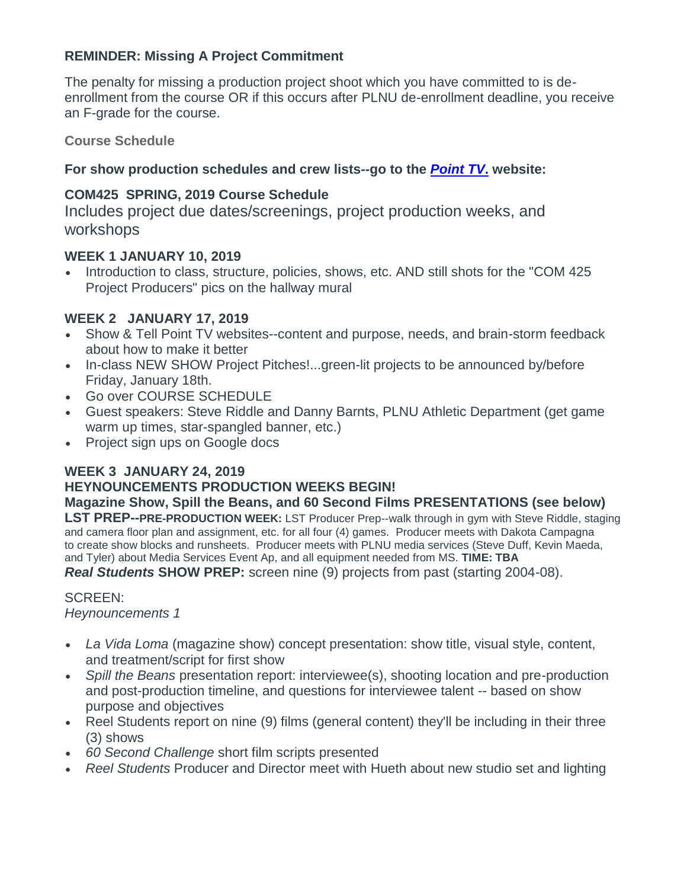#### **REMINDER: Missing A Project Commitment**

The penalty for missing a production project shoot which you have committed to is deenrollment from the course OR if this occurs after PLNU de-enrollment deadline, you receive an F-grade for the course.

**Course Schedule**

## **For show production schedules and crew lists--go to the** *[Point](https://pointtvplnu.com/) TV***. website:**

## **COM425 SPRING, 2019 Course Schedule**

Includes project due dates/screenings, project production weeks, and workshops

#### **WEEK 1 JANUARY 10, 2019**

• Introduction to class, structure, policies, shows, etc. AND still shots for the "COM 425 Project Producers" pics on the hallway mural

#### **WEEK 2 JANUARY 17, 2019**

- Show & Tell Point TV websites--content and purpose, needs, and brain-storm feedback about how to make it better
- In-class NEW SHOW Project Pitches!...green-lit projects to be announced by/before Friday, January 18th.
- Go over COURSE SCHEDULE
- Guest speakers: Steve Riddle and Danny Barnts, PLNU Athletic Department (get game warm up times, star-spangled banner, etc.)
- Project sign ups on Google docs

#### **WEEK 3 JANUARY 24, 2019**

## **HEYNOUNCEMENTS PRODUCTION WEEKS BEGIN!**

**Magazine Show, Spill the Beans, and 60 Second Films PRESENTATIONS (see below)**

**LST PREP--PRE-PRODUCTION WEEK:** LST Producer Prep--walk through in gym with Steve Riddle, staging and camera floor plan and assignment, etc. for all four (4) games. Producer meets with Dakota Campagna to create show blocks and runsheets. Producer meets with PLNU media services (Steve Duff, Kevin Maeda, and Tyler) about Media Services Event Ap, and all equipment needed from MS. **TIME: TBA**

*Real Students* **SHOW PREP:** screen nine (9) projects from past (starting 2004-08).

#### SCREEN:

*Heynouncements 1*

- *La Vida Loma* (magazine show) concept presentation: show title, visual style, content, and treatment/script for first show
- *Spill the Beans* presentation report: interviewee(s), shooting location and pre-production and post-production timeline, and questions for interviewee talent -- based on show purpose and objectives
- Reel Students report on nine (9) films (general content) they'll be including in their three (3) shows
- *60 Second Challenge* short film scripts presented
- *Reel Students* Producer and Director meet with Hueth about new studio set and lighting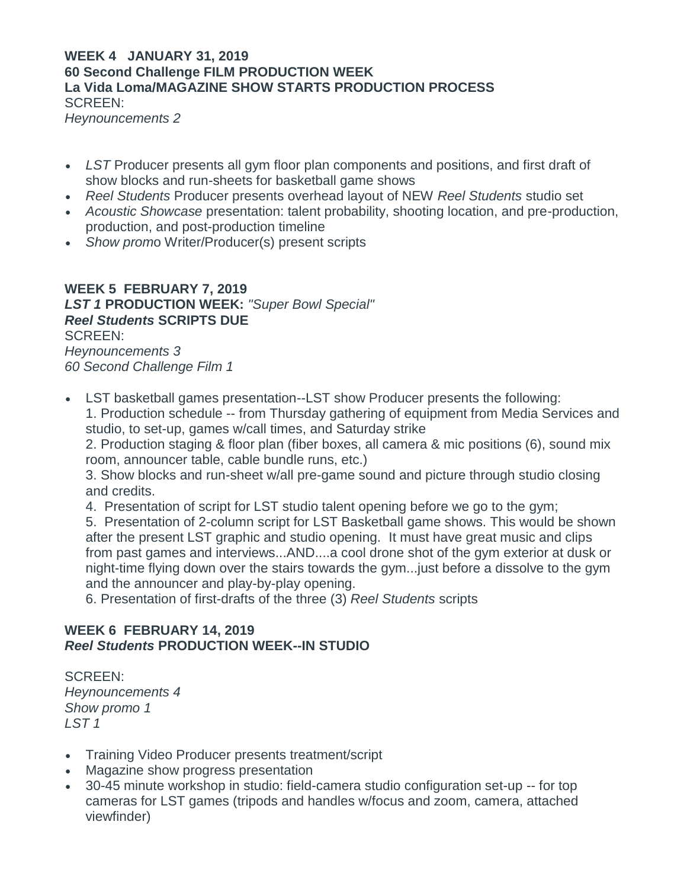## **WEEK 4 JANUARY 31, 2019 60 Second Challenge FILM PRODUCTION WEEK La Vida Loma/MAGAZINE SHOW STARTS PRODUCTION PROCESS** SCREEN:

*Heynouncements 2*

- *LST* Producer presents all gym floor plan components and positions, and first draft of show blocks and run-sheets for basketball game shows
- *Reel Students* Producer presents overhead layout of NEW *Reel Students* studio set
- *Acoustic Showcase* presentation: talent probability, shooting location, and pre-production, production, and post-production timeline
- *Show prom*o Writer/Producer(s) present scripts

**WEEK 5 FEBRUARY 7, 2019** *LST 1* **PRODUCTION WEEK:** *"Super Bowl Special" Reel Students* **SCRIPTS DUE** SCREEN: *Heynouncements 3 60 Second Challenge Film 1*

 LST basketball games presentation--LST show Producer presents the following: 1. Production schedule -- from Thursday gathering of equipment from Media Services and

studio, to set-up, games w/call times, and Saturday strike 2. Production staging & floor plan (fiber boxes, all camera & mic positions (6), sound mix room, announcer table, cable bundle runs, etc.)

3. Show blocks and run-sheet w/all pre-game sound and picture through studio closing and credits.

4. Presentation of script for LST studio talent opening before we go to the gym;

5. Presentation of 2-column script for LST Basketball game shows. This would be shown after the present LST graphic and studio opening. It must have great music and clips from past games and interviews...AND....a cool drone shot of the gym exterior at dusk or night-time flying down over the stairs towards the gym...just before a dissolve to the gym and the announcer and play-by-play opening.

6. Presentation of first-drafts of the three (3) *Reel Students* scripts

#### **WEEK 6 FEBRUARY 14, 2019** *Reel Students* **PRODUCTION WEEK--IN STUDIO**

SCREEN: *Heynouncements 4 Show promo 1 LST 1*

- Training Video Producer presents treatment/script
- Magazine show progress presentation
- 30-45 minute workshop in studio: field-camera studio configuration set-up -- for top cameras for LST games (tripods and handles w/focus and zoom, camera, attached viewfinder)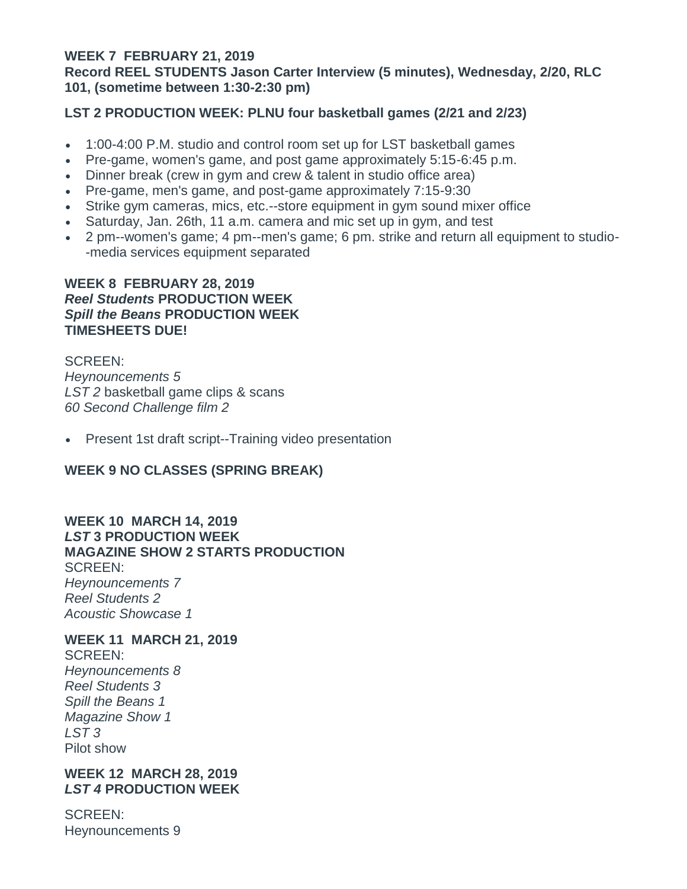#### **WEEK 7 FEBRUARY 21, 2019 Record REEL STUDENTS Jason Carter Interview (5 minutes), Wednesday, 2/20, RLC 101, (sometime between 1:30-2:30 pm)**

#### **LST 2 PRODUCTION WEEK: PLNU four basketball games (2/21 and 2/23)**

- 1:00-4:00 P.M. studio and control room set up for LST basketball games
- Pre-game, women's game, and post game approximately 5:15-6:45 p.m.
- Dinner break (crew in gym and crew & talent in studio office area)
- Pre-game, men's game, and post-game approximately 7:15-9:30
- Strike gym cameras, mics, etc.--store equipment in gym sound mixer office
- Saturday, Jan. 26th, 11 a.m. camera and mic set up in gym, and test
- 2 pm--women's game; 4 pm--men's game; 6 pm. strike and return all equipment to studio- -media services equipment separated

#### **WEEK 8 FEBRUARY 28, 2019**  *Reel Students* **PRODUCTION WEEK** *Spill the Beans* **PRODUCTION WEEK TIMESHEETS DUE!**

SCREEN: *Heynouncements 5 LST 2* basketball game clips & scans *60 Second Challenge film 2*

• Present 1st draft script--Training video presentation

## **WEEK 9 NO CLASSES (SPRING BREAK)**

#### **WEEK 10 MARCH 14, 2019** *LST* **3 PRODUCTION WEEK MAGAZINE SHOW 2 STARTS PRODUCTION** SCREEN: *Heynouncements 7 Reel Students 2 Acoustic Showcase 1*

#### **WEEK 11 MARCH 21, 2019**

SCREEN: *Heynouncements 8 Reel Students 3 Spill the Beans 1 Magazine Show 1 LST 3* Pilot show

#### **WEEK 12 MARCH 28, 2019** *LST 4* **PRODUCTION WEEK**

SCREEN: Heynouncements 9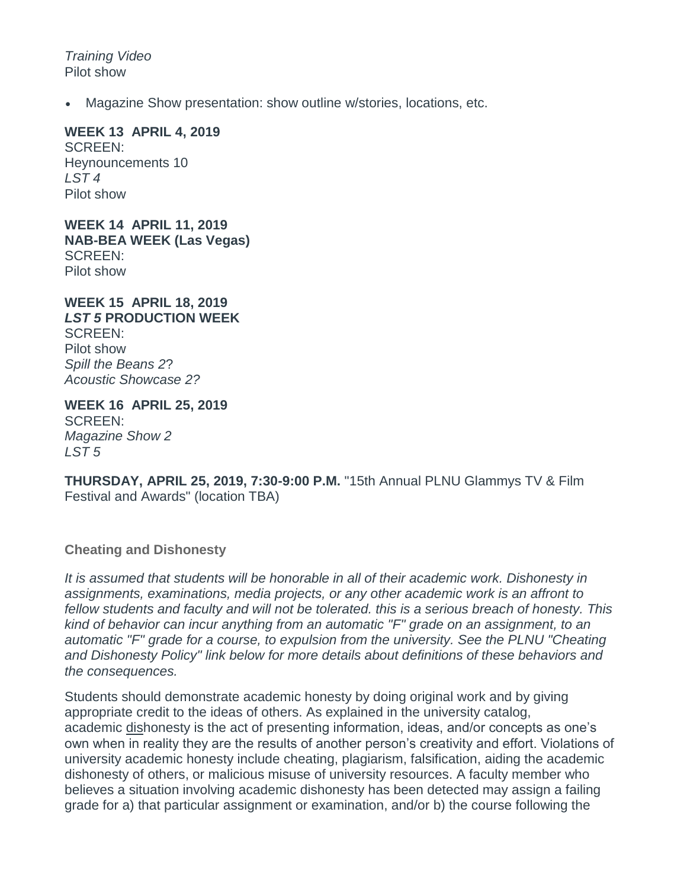*Training Video* Pilot show

Magazine Show presentation: show outline w/stories, locations, etc.

#### **WEEK 13 APRIL 4, 2019**

SCREEN: Heynouncements 10 *LST 4* Pilot show

**WEEK 14 APRIL 11, 2019 NAB-BEA WEEK (Las Vegas)** SCREEN: Pilot show

**WEEK 15 APRIL 18, 2019** *LST 5* **PRODUCTION WEEK**  SCREEN: Pilot show *Spill the Beans 2*? *Acoustic Showcase 2?*

**WEEK 16 APRIL 25, 2019** SCREEN: *Magazine Show 2 LST 5*

**THURSDAY, APRIL 25, 2019, 7:30-9:00 P.M.** "15th Annual PLNU Glammys TV & Film Festival and Awards" (location TBA)

**Cheating and Dishonesty**

*It is assumed that students will be honorable in all of their academic work. Dishonesty in assignments, examinations, media projects, or any other academic work is an affront to fellow students and faculty and will not be tolerated. this is a serious breach of honesty. This kind of behavior can incur anything from an automatic "F" grade on an assignment, to an automatic "F" grade for a course, to expulsion from the university. See the PLNU "Cheating and Dishonesty Policy" link below for more details about definitions of these behaviors and the consequences.*

Students should demonstrate academic honesty by doing original work and by giving appropriate credit to the ideas of others. As explained in the university catalog, academic dishonesty is the act of presenting information, ideas, and/or concepts as one's own when in reality they are the results of another person's creativity and effort. Violations of university academic honesty include cheating, plagiarism, falsification, aiding the academic dishonesty of others, or malicious misuse of university resources. A faculty member who believes a situation involving academic dishonesty has been detected may assign a failing grade for a) that particular assignment or examination, and/or b) the course following the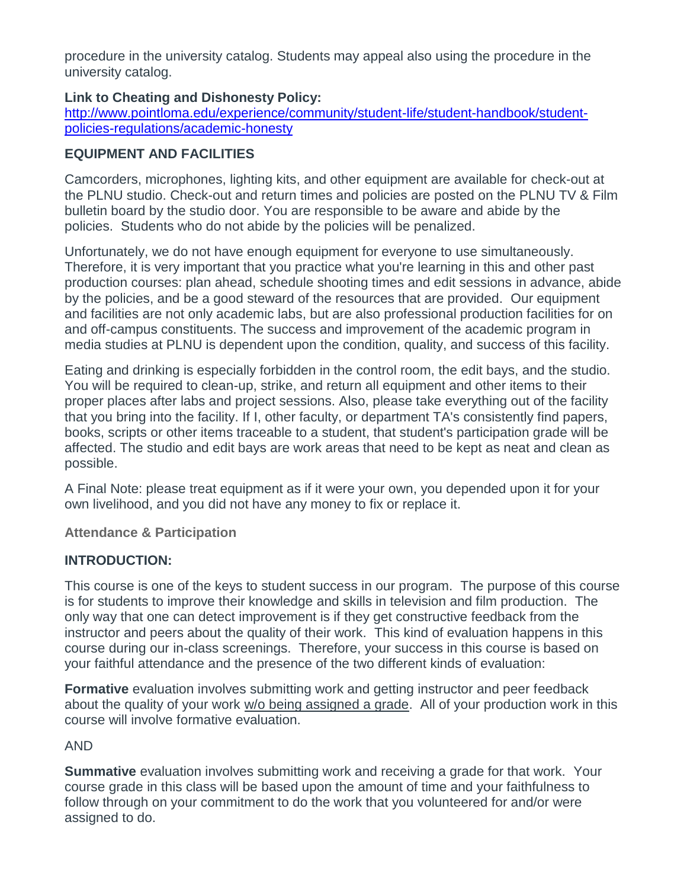procedure in the university catalog. Students may appeal also using the procedure in the university catalog.

#### **Link to Cheating and Dishonesty Policy:**

[http://www.pointloma.edu/experience/community/student-life/student-handbook/student](http://www.pointloma.edu/experience/community/student-life/student-handbook/student-policies-regulations/academic-honesty)[policies-regulations/academic-honesty](http://www.pointloma.edu/experience/community/student-life/student-handbook/student-policies-regulations/academic-honesty)

## **EQUIPMENT AND FACILITIES**

Camcorders, microphones, lighting kits, and other equipment are available for check-out at the PLNU studio. Check-out and return times and policies are posted on the PLNU TV & Film bulletin board by the studio door. You are responsible to be aware and abide by the policies. Students who do not abide by the policies will be penalized.

Unfortunately, we do not have enough equipment for everyone to use simultaneously. Therefore, it is very important that you practice what you're learning in this and other past production courses: plan ahead, schedule shooting times and edit sessions in advance, abide by the policies, and be a good steward of the resources that are provided. Our equipment and facilities are not only academic labs, but are also professional production facilities for on and off-campus constituents. The success and improvement of the academic program in media studies at PLNU is dependent upon the condition, quality, and success of this facility.

Eating and drinking is especially forbidden in the control room, the edit bays, and the studio. You will be required to clean-up, strike, and return all equipment and other items to their proper places after labs and project sessions. Also, please take everything out of the facility that you bring into the facility. If I, other faculty, or department TA's consistently find papers, books, scripts or other items traceable to a student, that student's participation grade will be affected. The studio and edit bays are work areas that need to be kept as neat and clean as possible.

A Final Note: please treat equipment as if it were your own, you depended upon it for your own livelihood, and you did not have any money to fix or replace it.

**Attendance & Participation**

## **INTRODUCTION:**

This course is one of the keys to student success in our program. The purpose of this course is for students to improve their knowledge and skills in television and film production. The only way that one can detect improvement is if they get constructive feedback from the instructor and peers about the quality of their work. This kind of evaluation happens in this course during our in-class screenings. Therefore, your success in this course is based on your faithful attendance and the presence of the two different kinds of evaluation:

**Formative** evaluation involves submitting work and getting instructor and peer feedback about the quality of your work w/o being assigned a grade. All of your production work in this course will involve formative evaluation.

## AND

**Summative** evaluation involves submitting work and receiving a grade for that work. Your course grade in this class will be based upon the amount of time and your faithfulness to follow through on your commitment to do the work that you volunteered for and/or were assigned to do.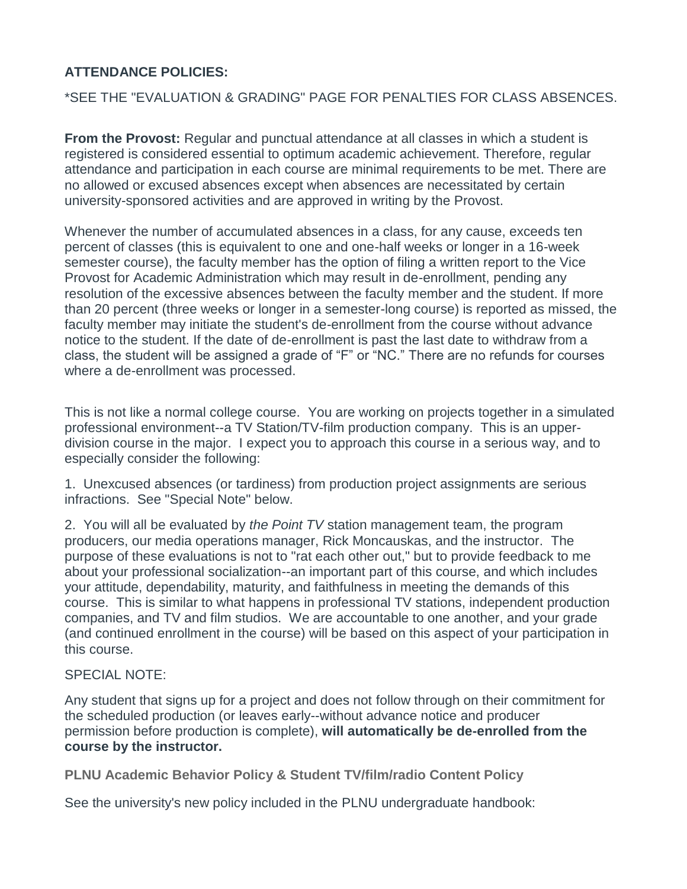## **ATTENDANCE POLICIES:**

#### \*SEE THE "EVALUATION & GRADING" PAGE FOR PENALTIES FOR CLASS ABSENCES.

**From the Provost:** Regular and punctual attendance at all classes in which a student is registered is considered essential to optimum academic achievement. Therefore, regular attendance and participation in each course are minimal requirements to be met. There are no allowed or excused absences except when absences are necessitated by certain university-sponsored activities and are approved in writing by the Provost.

Whenever the number of accumulated absences in a class, for any cause, exceeds ten percent of classes (this is equivalent to one and one-half weeks or longer in a 16-week semester course), the faculty member has the option of filing a written report to the Vice Provost for Academic Administration which may result in de-enrollment, pending any resolution of the excessive absences between the faculty member and the student. If more than 20 percent (three weeks or longer in a semester-long course) is reported as missed, the faculty member may initiate the student's de-enrollment from the course without advance notice to the student. If the date of de-enrollment is past the last date to withdraw from a class, the student will be assigned a grade of "F" or "NC." There are no refunds for courses where a de-enrollment was processed.

This is not like a normal college course. You are working on projects together in a simulated professional environment--a TV Station/TV-film production company. This is an upperdivision course in the major. I expect you to approach this course in a serious way, and to especially consider the following:

1. Unexcused absences (or tardiness) from production project assignments are serious infractions. See "Special Note" below.

2. You will all be evaluated by *the Point TV* station management team, the program producers, our media operations manager, Rick Moncauskas, and the instructor. The purpose of these evaluations is not to "rat each other out," but to provide feedback to me about your professional socialization--an important part of this course, and which includes your attitude, dependability, maturity, and faithfulness in meeting the demands of this course. This is similar to what happens in professional TV stations, independent production companies, and TV and film studios. We are accountable to one another, and your grade (and continued enrollment in the course) will be based on this aspect of your participation in this course.

#### SPECIAL NOTE:

Any student that signs up for a project and does not follow through on their commitment for the scheduled production (or leaves early--without advance notice and producer permission before production is complete), **will automatically be de-enrolled from the course by the instructor.**

**PLNU Academic Behavior Policy & Student TV/film/radio Content Policy**

See the university's new policy included in the PLNU undergraduate handbook: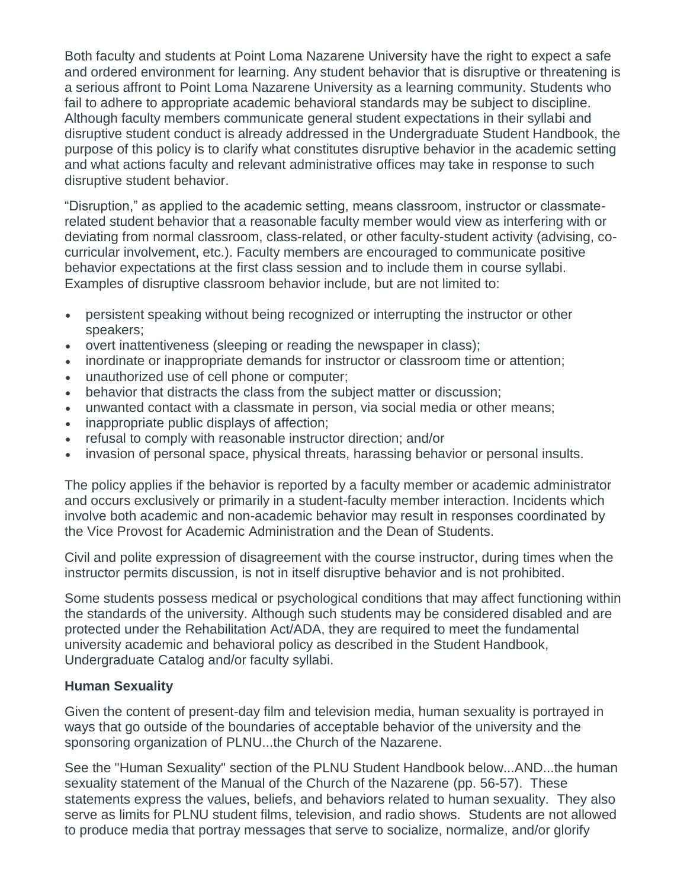Both faculty and students at Point Loma Nazarene University have the right to expect a safe and ordered environment for learning. Any student behavior that is disruptive or threatening is a serious affront to Point Loma Nazarene University as a learning community. Students who fail to adhere to appropriate academic behavioral standards may be subject to discipline. Although faculty members communicate general student expectations in their syllabi and disruptive student conduct is already addressed in the Undergraduate Student Handbook, the purpose of this policy is to clarify what constitutes disruptive behavior in the academic setting and what actions faculty and relevant administrative offices may take in response to such disruptive student behavior.

"Disruption," as applied to the academic setting, means classroom, instructor or classmaterelated student behavior that a reasonable faculty member would view as interfering with or deviating from normal classroom, class-related, or other faculty-student activity (advising, cocurricular involvement, etc.). Faculty members are encouraged to communicate positive behavior expectations at the first class session and to include them in course syllabi. Examples of disruptive classroom behavior include, but are not limited to:

- persistent speaking without being recognized or interrupting the instructor or other speakers;
- overt inattentiveness (sleeping or reading the newspaper in class);
- inordinate or inappropriate demands for instructor or classroom time or attention;
- unauthorized use of cell phone or computer;
- behavior that distracts the class from the subject matter or discussion;
- unwanted contact with a classmate in person, via social media or other means;
- inappropriate public displays of affection;
- refusal to comply with reasonable instructor direction; and/or
- invasion of personal space, physical threats, harassing behavior or personal insults.

The policy applies if the behavior is reported by a faculty member or academic administrator and occurs exclusively or primarily in a student-faculty member interaction. Incidents which involve both academic and non-academic behavior may result in responses coordinated by the Vice Provost for Academic Administration and the Dean of Students.

Civil and polite expression of disagreement with the course instructor, during times when the instructor permits discussion, is not in itself disruptive behavior and is not prohibited.

Some students possess medical or psychological conditions that may affect functioning within the standards of the university. Although such students may be considered disabled and are protected under the Rehabilitation Act/ADA, they are required to meet the fundamental university academic and behavioral policy as described in the Student Handbook, Undergraduate Catalog and/or faculty syllabi.

#### **Human Sexuality**

Given the content of present-day film and television media, human sexuality is portrayed in ways that go outside of the boundaries of acceptable behavior of the university and the sponsoring organization of PLNU...the Church of the Nazarene.

See the "Human Sexuality" section of the PLNU Student Handbook below...AND...the human sexuality statement of the Manual of the Church of the Nazarene (pp. 56-57). These statements express the values, beliefs, and behaviors related to human sexuality. They also serve as limits for PLNU student films, television, and radio shows. Students are not allowed to produce media that portray messages that serve to socialize, normalize, and/or glorify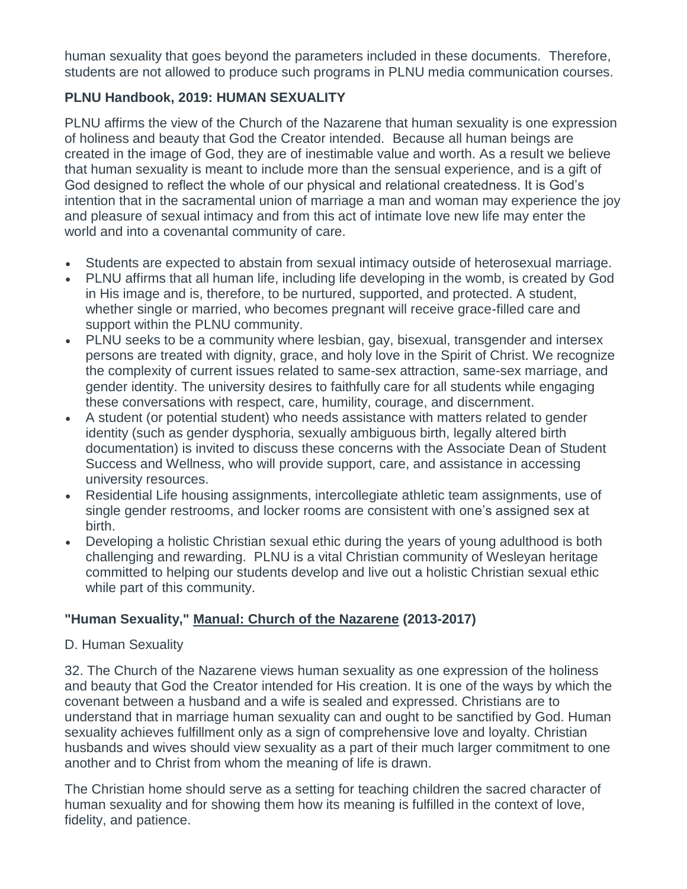human sexuality that goes beyond the parameters included in these documents. Therefore, students are not allowed to produce such programs in PLNU media communication courses.

## **PLNU Handbook, 2019: HUMAN SEXUALITY**

PLNU affirms the view of the Church of the Nazarene that human sexuality is one expression of holiness and beauty that God the Creator intended. Because all human beings are created in the image of God, they are of inestimable value and worth. As a result we believe that human sexuality is meant to include more than the sensual experience, and is a gift of God designed to reflect the whole of our physical and relational createdness. It is God's intention that in the sacramental union of marriage a man and woman may experience the joy and pleasure of sexual intimacy and from this act of intimate love new life may enter the world and into a covenantal community of care.

- Students are expected to abstain from sexual intimacy outside of heterosexual marriage.
- PLNU affirms that all human life, including life developing in the womb, is created by God in His image and is, therefore, to be nurtured, supported, and protected. A student, whether single or married, who becomes pregnant will receive grace-filled care and support within the PLNU community.
- PLNU seeks to be a community where lesbian, gay, bisexual, transgender and intersex persons are treated with dignity, grace, and holy love in the Spirit of Christ. We recognize the complexity of current issues related to same-sex attraction, same-sex marriage, and gender identity. The university desires to faithfully care for all students while engaging these conversations with respect, care, humility, courage, and discernment.
- A student (or potential student) who needs assistance with matters related to gender identity (such as gender dysphoria, sexually ambiguous birth, legally altered birth documentation) is invited to discuss these concerns with the Associate Dean of Student Success and Wellness, who will provide support, care, and assistance in accessing university resources.
- Residential Life housing assignments, intercollegiate athletic team assignments, use of single gender restrooms, and locker rooms are consistent with one's assigned sex at birth.
- Developing a holistic Christian sexual ethic during the years of young adulthood is both challenging and rewarding. PLNU is a vital Christian community of Wesleyan heritage committed to helping our students develop and live out a holistic Christian sexual ethic while part of this community.

## **"Human Sexuality," Manual: Church of the Nazarene (2013-2017)**

#### D. Human Sexuality

32. The Church of the Nazarene views human sexuality as one expression of the holiness and beauty that God the Creator intended for His creation. It is one of the ways by which the covenant between a husband and a wife is sealed and expressed. Christians are to understand that in marriage human sexuality can and ought to be sanctified by God. Human sexuality achieves fulfillment only as a sign of comprehensive love and loyalty. Christian husbands and wives should view sexuality as a part of their much larger commitment to one another and to Christ from whom the meaning of life is drawn.

The Christian home should serve as a setting for teaching children the sacred character of human sexuality and for showing them how its meaning is fulfilled in the context of love, fidelity, and patience.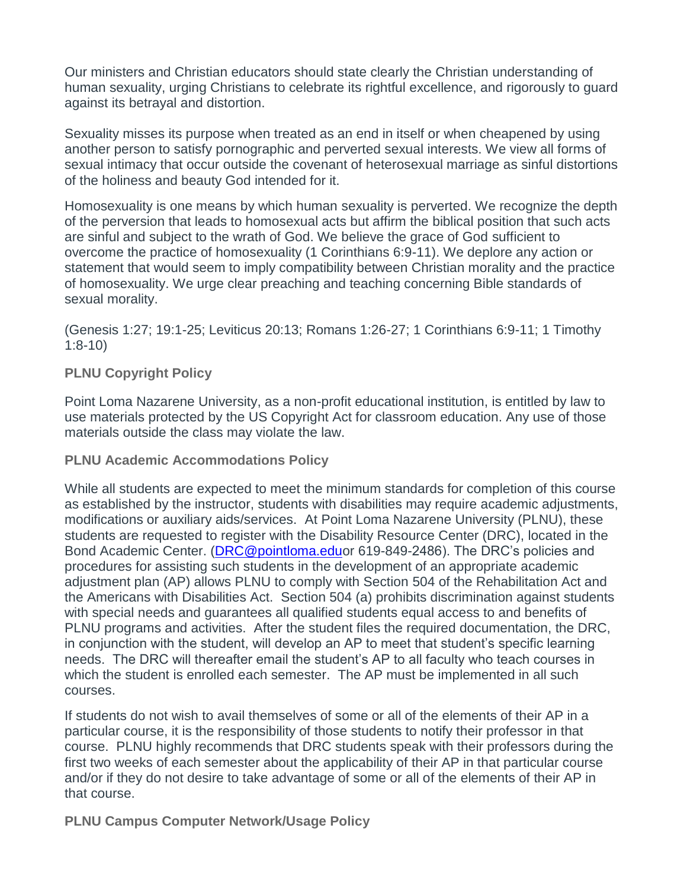Our ministers and Christian educators should state clearly the Christian understanding of human sexuality, urging Christians to celebrate its rightful excellence, and rigorously to guard against its betrayal and distortion.

Sexuality misses its purpose when treated as an end in itself or when cheapened by using another person to satisfy pornographic and perverted sexual interests. We view all forms of sexual intimacy that occur outside the covenant of heterosexual marriage as sinful distortions of the holiness and beauty God intended for it.

Homosexuality is one means by which human sexuality is perverted. We recognize the depth of the perversion that leads to homosexual acts but affirm the biblical position that such acts are sinful and subject to the wrath of God. We believe the grace of God sufficient to overcome the practice of homosexuality (1 Corinthians 6:9-11). We deplore any action or statement that would seem to imply compatibility between Christian morality and the practice of homosexuality. We urge clear preaching and teaching concerning Bible standards of sexual morality.

(Genesis 1:27; 19:1-25; Leviticus 20:13; Romans 1:26-27; 1 Corinthians 6:9-11; 1 Timothy 1:8-10)

#### **PLNU Copyright Policy**

Point Loma Nazarene University, as a non-profit educational institution, is entitled by law to use materials protected by the US Copyright Act for classroom education. Any use of those materials outside the class may violate the law.

**PLNU Academic Accommodations Policy**

While all students are expected to meet the minimum standards for completion of this course as established by the instructor, students with disabilities may require academic adjustments, modifications or auxiliary aids/services. At Point Loma Nazarene University (PLNU), these students are requested to register with the Disability Resource Center (DRC), located in the Bond Academic Center. [\(DRC@pointloma.eduo](mailto:DRC@pointloma.edu)r 619-849-2486). The DRC's policies and procedures for assisting such students in the development of an appropriate academic adjustment plan (AP) allows PLNU to comply with Section 504 of the Rehabilitation Act and the Americans with Disabilities Act. Section 504 (a) prohibits discrimination against students with special needs and guarantees all qualified students equal access to and benefits of PLNU programs and activities. After the student files the required documentation, the DRC, in conjunction with the student, will develop an AP to meet that student's specific learning needs. The DRC will thereafter email the student's AP to all faculty who teach courses in which the student is enrolled each semester. The AP must be implemented in all such courses.

If students do not wish to avail themselves of some or all of the elements of their AP in a particular course, it is the responsibility of those students to notify their professor in that course. PLNU highly recommends that DRC students speak with their professors during the first two weeks of each semester about the applicability of their AP in that particular course and/or if they do not desire to take advantage of some or all of the elements of their AP in that course.

**PLNU Campus Computer Network/Usage Policy**